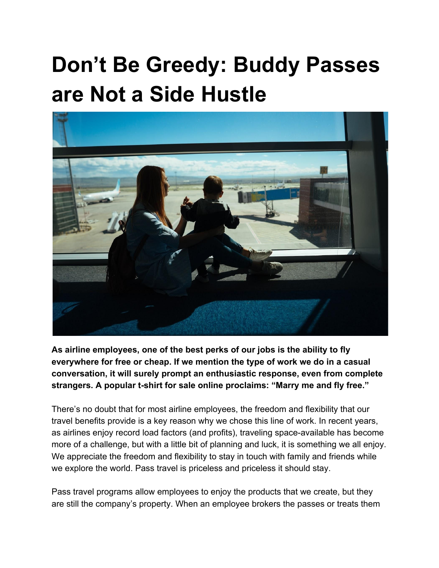## **Don't Be Greedy: Buddy Passes are Not a Side Hustle**



**As airline employees, one of the best perks of our jobs is the ability to fly everywhere for free or cheap. If we mention the type of work we do in a casual conversation, it will surely prompt an enthusiastic response, even from complete strangers. A popular t-shirt for sale online proclaims: "Marry me and fly free."**

There's no doubt that for most airline employees, the freedom and flexibility that our travel benefits provide is a key reason why we chose this line of work. In recent years, as airlines enjoy record load factors (and profits), traveling space-available has become more of a challenge, but with a little bit of planning and luck, it is something we all enjoy. We appreciate the freedom and flexibility to stay in touch with family and friends while we explore the world. Pass travel is priceless and priceless it should stay.

Pass travel programs allow employees to enjoy the products that we create, but they are still the company's property. When an employee brokers the passes or treats them